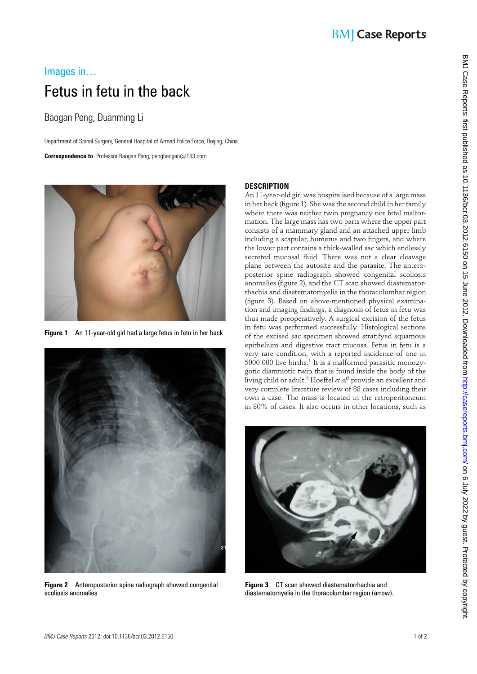# Images in… Fetus in fetu in the back

### Baogan Peng, Duanming Li

Department of Spinal Surgery, General Hospital of Armed Police Force, Beijing, China

 **Correspondence to** Professor Baogan Peng, pengbaogan@163.com



 **Figure 1** An 11-year-old girl had a large fetus in fetu in her back



 **Figure 2** Anteroposterior spine radiograph showed congenital scoliosis anomalies

### **DESCRIPTION**

An 11-year-old girl was hospitalised because of a large mass in her back (figure 1). She was the second child in her family where there was neither twin pregnancy nor fetal malformation. The large mass has two parts where the upper part consists of a mammary gland and an attached upper limb including a scapular, humerus and two fingers, and where the lower part contains a thick-walled sac which endlessly secreted mucosal fluid. There was not a clear cleavage plane between the autosite and the parasite. The anteroposterior spine radiograph showed congenital scoliosis anomalies (figure 2), and the CT scan showed diastematorrhachia and diastematomyelia in the thoracolumbar region (figure 3). Based on above-mentioned physical examination and imaging findings, a diagnosis of fetus in fetu was thus made preoperatively. A surgical excision of the fetus in fetu was performed successfully. Histological sections of the excised sac specimen showed stratifyed squamous epithelium and digestive tract mucosa. Fetus in fetu is a very rare condition, with a reported incidence of one in  $5000$  000 live births.<sup>1</sup> It is a malformed parasitic monozygotic diamniotic twin that is found inside the body of the living child or adult. 2 Hoeffel *et al*2 provide an excellent and very complete literature review of 88 cases including their own a case. The mass is located in the retroperitoneum in 80% of cases. It also occurs in other locations, such as



 **Figure 3** CT scan showed diastematorrhachia and diastematomyelia in the thoracolumbar region (arrow).